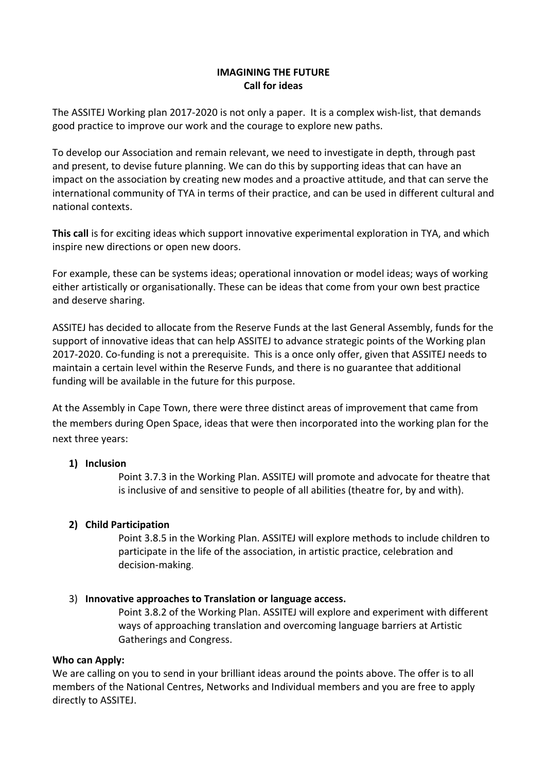# **IMAGINING THE FUTURE Call for ideas**

The ASSITEJ Working plan 2017-2020 is not only a paper. It is a complex wish-list, that demands good practice to improve our work and the courage to explore new paths.

To develop our Association and remain relevant, we need to investigate in depth, through past and present, to devise future planning. We can do this by supporting ideas that can have an impact on the association by creating new modes and a proactive attitude, and that can serve the international community of TYA in terms of their practice, and can be used in different cultural and national contexts.

**This call** is for exciting ideas which support innovative experimental exploration in TYA, and which inspire new directions or open new doors.

For example, these can be systems ideas; operational innovation or model ideas; ways of working either artistically or organisationally. These can be ideas that come from your own best practice and deserve sharing.

ASSITEJ has decided to allocate from the Reserve Funds at the last General Assembly, funds for the support of innovative ideas that can help ASSITEJ to advance strategic points of the Working plan 2017-2020. Co-funding is not a prerequisite. This is a once only offer, given that ASSITEJ needs to maintain a certain level within the Reserve Funds, and there is no guarantee that additional funding will be available in the future for this purpose.

At the Assembly in Cape Town, there were three distinct areas of improvement that came from the members during Open Space, ideas that were then incorporated into the working plan for the next three years:

## **1) Inclusion**

Point 3.7.3 in the Working Plan. ASSITEJ will promote and advocate for theatre that is inclusive of and sensitive to people of all abilities (theatre for, by and with).

## **2) Child Participation**

Point 3.8.5 in the Working Plan. ASSITEJ will explore methods to include children to participate in the life of the association, in artistic practice, celebration and decision-making.

## 3) **Innovative approaches to Translation or language access.**

Point 3.8.2 of the Working Plan. ASSITEJ will explore and experiment with different ways of approaching translation and overcoming language barriers at Artistic Gatherings and Congress.

#### **Who can Apply:**

We are calling on you to send in your brilliant ideas around the points above. The offer is to all members of the National Centres, Networks and Individual members and you are free to apply directly to ASSITEJ.